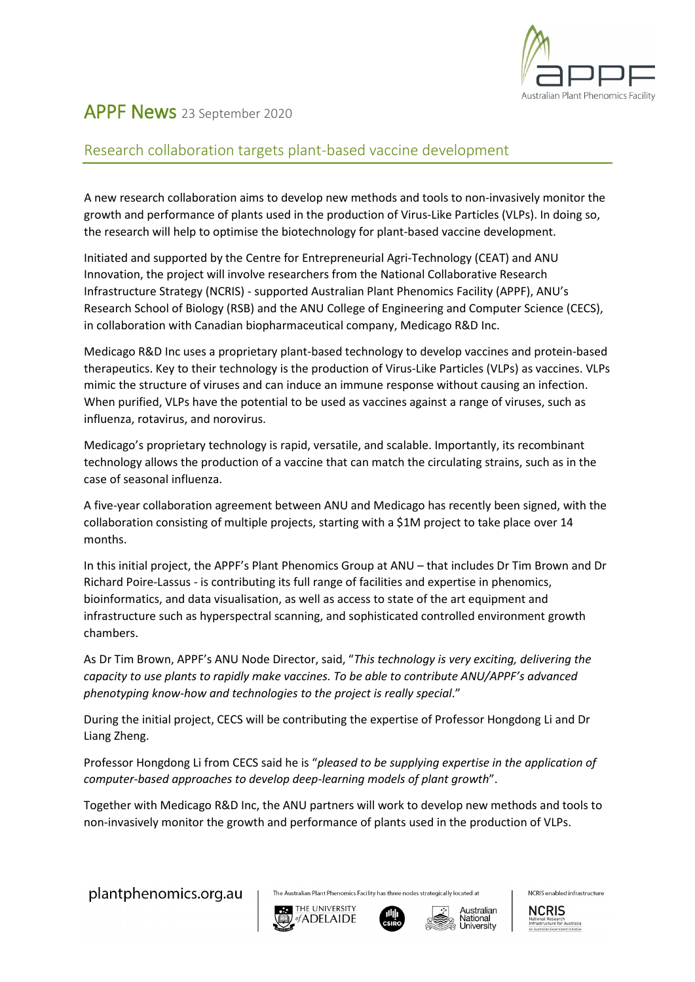

## APPF News 23 September <sup>2020</sup>

## Research collaboration targets plant-based vaccine development

A new research collaboration aims to develop new methods and tools to non-invasively monitor the growth and performance of plants used in the production of Virus-Like Particles (VLPs). In doing so, the research will help to optimise the biotechnology for plant-based vaccine development.

Initiated and supported by the Centre for Entrepreneurial Agri-Technology (CEAT) and ANU Innovation, the project will involve researchers from the National Collaborative Research Infrastructure Strategy (NCRIS) - supported Australian Plant Phenomics Facility (APPF), ANU's Research School of Biology (RSB) and the ANU College of Engineering and Computer Science (CECS), in collaboration with Canadian biopharmaceutical company, Medicago R&D Inc.

Medicago R&D Inc uses a proprietary plant-based technology to develop vaccines and protein-based therapeutics. Key to their technology is the production of Virus-Like Particles (VLPs) as vaccines. VLPs mimic the structure of viruses and can induce an immune response without causing an infection. When purified, VLPs have the potential to be used as vaccines against a range of viruses, such as influenza, rotavirus, and norovirus.

Medicago's proprietary technology is rapid, versatile, and scalable. Importantly, its recombinant technology allows the production of a vaccine that can match the circulating strains, such as in the case of seasonal influenza.

A five-year collaboration agreement between ANU and Medicago has recently been signed, with the collaboration consisting of multiple projects, starting with a \$1M project to take place over 14 months.

In this initial project, the APPF's Plant Phenomics Group at ANU – that includes Dr Tim Brown and Dr Richard Poire-Lassus - is contributing its full range of facilities and expertise in phenomics, bioinformatics, and data visualisation, as well as access to state of the art equipment and infrastructure such as hyperspectral scanning, and sophisticated controlled environment growth chambers.

As Dr Tim Brown, APPF's ANU Node Director, said, "*This technology is very exciting, delivering the capacity to use plants to rapidly make vaccines. To be able to contribute ANU/APPF's advanced phenotyping know-how and technologies to the project is really special*."

During the initial project, CECS will be contributing the expertise of Professor Hongdong Li and Dr Liang Zheng.

Professor Hongdong Li from CECS said he is "*pleased to be supplying expertise in the application of computer-based approaches to develop deep-learning models of plant growth*".

Together with Medicago R&D Inc, the ANU partners will work to develop new methods and tools to non-invasively monitor the growth and performance of plants used in the production of VLPs.

plantphenomics.org.au

The Australian Plant Phenomics Facility has three nodes strategically located at







NCRIS enabled infrastructure

**NCRIS**